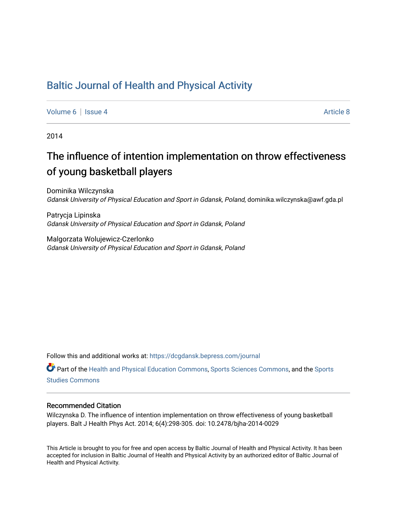# [Baltic Journal of Health and Physical Activity](https://dcgdansk.bepress.com/journal)

[Volume 6](https://dcgdansk.bepress.com/journal/vol6) | [Issue 4](https://dcgdansk.bepress.com/journal/vol6/iss4) Article 8

2014

# The influence of intention implementation on throw effectiveness of young basketball players

Dominika Wilczynska Gdansk University of Physical Education and Sport in Gdansk, Poland, dominika.wilczynska@awf.gda.pl

Patrycja Lipinska Gdansk University of Physical Education and Sport in Gdansk, Poland

Malgorzata Wolujewicz-Czerlonko Gdansk University of Physical Education and Sport in Gdansk, Poland

Follow this and additional works at: [https://dcgdansk.bepress.com/journal](https://dcgdansk.bepress.com/journal?utm_source=dcgdansk.bepress.com%2Fjournal%2Fvol6%2Fiss4%2F8&utm_medium=PDF&utm_campaign=PDFCoverPages)

Part of the [Health and Physical Education Commons](http://network.bepress.com/hgg/discipline/1327?utm_source=dcgdansk.bepress.com%2Fjournal%2Fvol6%2Fiss4%2F8&utm_medium=PDF&utm_campaign=PDFCoverPages), [Sports Sciences Commons](http://network.bepress.com/hgg/discipline/759?utm_source=dcgdansk.bepress.com%2Fjournal%2Fvol6%2Fiss4%2F8&utm_medium=PDF&utm_campaign=PDFCoverPages), and the [Sports](http://network.bepress.com/hgg/discipline/1198?utm_source=dcgdansk.bepress.com%2Fjournal%2Fvol6%2Fiss4%2F8&utm_medium=PDF&utm_campaign=PDFCoverPages)  [Studies Commons](http://network.bepress.com/hgg/discipline/1198?utm_source=dcgdansk.bepress.com%2Fjournal%2Fvol6%2Fiss4%2F8&utm_medium=PDF&utm_campaign=PDFCoverPages) 

#### Recommended Citation

Wilczynska D. The influence of intention implementation on throw effectiveness of young basketball players. Balt J Health Phys Act. 2014; 6(4):298-305. doi: 10.2478/bjha-2014-0029

This Article is brought to you for free and open access by Baltic Journal of Health and Physical Activity. It has been accepted for inclusion in Baltic Journal of Health and Physical Activity by an authorized editor of Baltic Journal of Health and Physical Activity.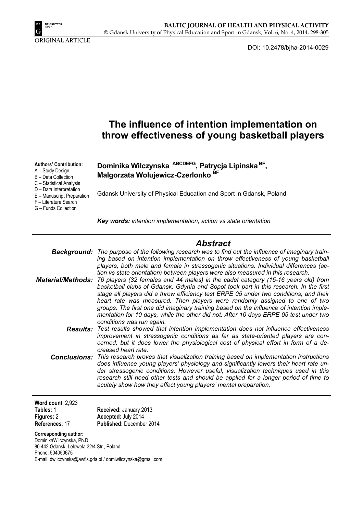

ORIGINAL ARTICLE

DOI: 10.2478/bjha-2014-0029

|                                                                                                                                                                                               | The influence of intention implementation on<br>throw effectiveness of young basketball players                                                                                                                                                                                                                                                                                                                                                                                                                                                                                                                          |
|-----------------------------------------------------------------------------------------------------------------------------------------------------------------------------------------------|--------------------------------------------------------------------------------------------------------------------------------------------------------------------------------------------------------------------------------------------------------------------------------------------------------------------------------------------------------------------------------------------------------------------------------------------------------------------------------------------------------------------------------------------------------------------------------------------------------------------------|
| <b>Authors' Contribution:</b><br>A - Study Design<br><b>B</b> - Data Collection<br>C - Statistical Analysis<br>D - Data Interpretation<br>E - Manuscript Preparation<br>F - Literature Search | Dominika Wilczynska ABCDEFG, Patrycja Lipinska BF,<br>Malgorzata Wolujewicz-Czerlonko <sup>BF</sup><br>Gdansk University of Physical Education and Sport in Gdansk, Poland                                                                                                                                                                                                                                                                                                                                                                                                                                               |
| G - Funds Collection                                                                                                                                                                          | Key words: intention implementation, action vs state orientation                                                                                                                                                                                                                                                                                                                                                                                                                                                                                                                                                         |
|                                                                                                                                                                                               | <b>Abstract</b>                                                                                                                                                                                                                                                                                                                                                                                                                                                                                                                                                                                                          |
| <b>Background:</b>                                                                                                                                                                            | The purpose of the following research was to find out the influence of imaginary train-<br>ing based on intention implementation on throw effectiveness of young basketball                                                                                                                                                                                                                                                                                                                                                                                                                                              |
| <b>Material/Methods:</b>                                                                                                                                                                      | players, both male and female in stressogenic situations. Individual differences (ac-<br>tion vs state orientation) between players were also measured in this research.<br>76 players (32 females and 44 males) in the cadet category (15-16 years old) from<br>basketball clubs of Gdansk, Gdynia and Sopot took part in this research. In the first<br>stage all players did a throw efficiency test ERPE 05 under two conditions, and their<br>heart rate was measured. Then players were randomly assigned to one of two<br>groups. The first one did imaginary training based on the influence of intention imple- |
|                                                                                                                                                                                               | mentation for 10 days, while the other did not. After 10 days ERPE 05 test under two<br>conditions was run again.<br><b>Results:</b> Test results showed that intention implementation does not influence effectiveness<br>improvement in stressogenic conditions as far as state-oriented players are con-                                                                                                                                                                                                                                                                                                              |
|                                                                                                                                                                                               | cerned, but it does lower the physiological cost of physical effort in form of a de-<br>creased heart rate.                                                                                                                                                                                                                                                                                                                                                                                                                                                                                                              |
| <b>Conclusions:</b>                                                                                                                                                                           | This research proves that visualization training based on implementation instructions<br>does influence young players' physiology and significantly lowers their heart rate un-<br>der stressogenic conditions. However useful, visualization techniques used in this<br>research still need other tests and should be applied for a longer period of time to<br>acutely show how they affect young players' mental preparation.                                                                                                                                                                                         |
| Word count: 2,923<br>Tables: 1<br>Figures: 2<br>References: 17                                                                                                                                | Received: January 2013<br>Accepted: July 2014<br>Published: December 2014                                                                                                                                                                                                                                                                                                                                                                                                                                                                                                                                                |

**Corresponding author:**  DominikaWilczynska, Ph.D. 80-442 Gdansk, Lelewela 32/4 Str., Poland Phone: 504050675 E-mail: dwilczynska@awfis.gda.pl / domiwilczynska@gmail.com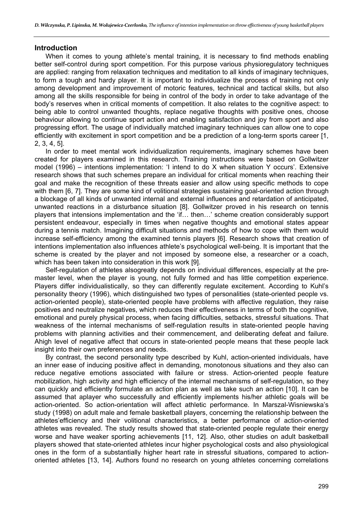#### **Introduction**

When it comes to young athlete's mental training, it is necessary to find methods enabling better self-control during sport competition. For this purpose various physioregulatory techniques are applied: ranging from relaxation techniques and meditation to all kinds of imaginary techniques, to form a tough and hardy player. It is important to individualize the process of training not only among development and improvement of motoric features, technical and tactical skills, but also among all the skills responsible for being in control of the body in order to take advantage of the body's reserves when in critical moments of competition. It also relates to the cognitive aspect: to being able to control unwanted thoughts, replace negative thoughts with positive ones, choose behaviour allowing to continue sport action and enabling satisfaction and joy from sport and also progressing effort. The usage of individually matched imaginary techniques can allow one to cope efficiently with excitement in sport competition and be a prediction of a long-term sports career [1, 2, 3, 4, 5].

In order to meet mental work individualization requirements, imaginary schemes have been created for players examined in this research. Training instructions were based on Gollwitzer model (1996) – intentions implementation: 'I intend to do X when situation Y occurs'. Extensive research shows that such schemes prepare an individual for critical moments when reaching their goal and make the recognition of these threats easier and allow using specific methods to cope with them [6, 7]. They are some kind of volitional strategies sustaining goal-oriented action through a blockage of all kinds of unwanted internal and external influences and retardation of anticipated, unwanted reactions in a disturbance situation [8]. Gollwitzer proved in his research on tennis players that intensions implementation and the 'if… then…' scheme creation considerably support persistent endeavour, especially in times when negative thoughts and emotional states appear during a tennis match. Imagining difficult situations and methods of how to cope with them would increase self-efficiency among the examined tennis players [6]. Research shows that creation of intentions implementation also influences athlete's psychological well-being. It is important that the scheme is created by the player and not imposed by someone else, a researcher or a coach, which has been taken into consideration in this work [9].

Self-regulation of athletes alsogreatly depends on individual differences, especially at the premaster level, when the player is young, not fully formed and has little competition experience. Players differ individualistically, so they can differently regulate excitement. According to Kuhl's personality theory (1996), which distinguished two types of personalities (state-oriented people vs. action-oriented people), state-oriented people have problems with affective regulation, they raise positives and neutralize negatives, which reduces their effectiveness in terms of both the cognitive, emotional and purely physical process, when facing difficulties, setbacks, stressful situations. That weakness of the internal mechanisms of self-regulation results in state-oriented people having problems with planning activities and their commencement, and deliberating defeat and failure. Ahigh level of negative affect that occurs in state-oriented people means that these people lack insight into their own preferences and needs.

By contrast, the second personality type described by Kuhl, action-oriented individuals, have an inner ease of inducing positive affect in demanding, monotonous situations and they also can reduce negative emotions associated with failure or stress. Action-oriented people feature mobilization, high activity and high efficiency of the internal mechanisms of self-regulation, so they can quickly and efficiently formulate an action plan as well as take such an action [10]. It can be assumed that aplayer who successfully and efficiently implements his/her athletic goals will be action-oriented. So action-orientation will affect athletic performance. In Marszal-Wisniewska's study (1998) on adult male and female basketball players, concerning the relationship between the athletes'efficiency and their volitional characteristics, a better performance of action-oriented athletes was revealed. The study results showed that state-oriented people regulate their energy worse and have weaker sporting achievements [11, 12]. Also, other studies on adult basketball players showed that state-oriented athletes incur higher psychological costs and also physiological ones in the form of a substantially higher heart rate in stressful situations, compared to actionoriented athletes [13, 14]. Authors found no research on young athletes concerning correlations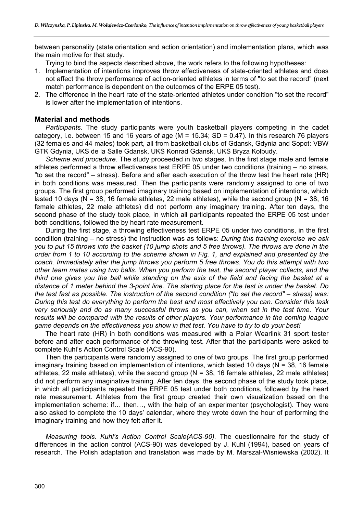between personality (state orientation and action orientation) and implementation plans, which was the main motive for that study.

Trying to bind the aspects described above, the work refers to the following hypotheses:

- 1. Implementation of intentions improves throw effectiveness of state-oriented athletes and does not affect the throw performance of action-oriented athletes in terms of "to set the record" (next match performance is dependent on the outcomes of the ERPE 05 test).
- 2. The difference in the heart rate of the state-oriented athletes under condition "to set the record" is lower after the implementation of intentions.

#### **Material and methods**

*Participants.* The study participants were youth basketball players competing in the cadet category, i.e. between 15 and 16 years of age ( $M = 15.34$ ; SD = 0.47). In this research 76 players (32 females and 44 males) took part, all from basketball clubs of Gdansk, Gdynia and Sopot: VBW GTK Gdynia, UKS de la Salle Gdansk, UKS Konrad Gdansk, UKS Bryza Kolbudy.

*Scheme and procedure.* The study proceeded in two stages. In the first stage male and female athletes performed a throw effectiveness test ERPE 05 under two conditions (training – no stress, "to set the record" – stress). Before and after each execution of the throw test the heart rate (HR) in both conditions was measured. Then the participants were randomly assigned to one of two groups. The first group performed imaginary training based on implementation of intentions, which lasted 10 days ( $N = 38$ , 16 female athletes, 22 male athletes), while the second group ( $N = 38$ , 16 female athletes, 22 male athletes) did not perform any imaginary training. After ten days, the second phase of the study took place, in which all participants repeated the ERPE 05 test under both conditions, followed the by heart rate measurement.

During the first stage, a throwing effectiveness test ERPE 05 under two conditions, in the first condition (training – no stress) the instruction was as follows: *During this training exercise we ask you to put 15 throws into the basket (10 jump shots and 5 free throws). The throws are done in the order from 1 to 10 according to the scheme shown in Fig. 1, and explained and presented by the coach. Immediately after the jump throws you perform 5 free throws. You do this attempt with two other team mates using two balls. When you perform the test, the second player collects, and the third one gives you the ball while standing on the axis of the field and facing the basket at a distance of 1 meter behind the 3-point line. The starting place for the test is under the basket. Do the test fast as possible. The instruction of the second condition ("to set the record" – stress) was: During this test do everything to perform the best and most effectively you can. Consider this task very seriously and do as many successful throws as you can, when set in the test time. Your results will be compared with the results of other players. Your performance in the coming league game depends on the effectiveness you show in that test. You have to try to do your best!* 

The heart rate (HR) in both conditions was measured with a Polar Wearlink 31 sport tester before and after each performance of the throwing test. After that the participants were asked to complete Kuhl's Action Control Scale (ACS-90).

Then the participants were randomly assigned to one of two groups. The first group performed imaginary training based on implementation of intentions, which lasted 10 days ( $N = 38$ , 16 female athletes, 22 male athletes), while the second group ( $N = 38$ , 16 female athletes, 22 male athletes) did not perform any imaginative training. After ten days, the second phase of the study took place, in which all participants repeated the ERPE 05 test under both conditions, followed by the heart rate measurement. Athletes from the first group created their own visualization based on the implementation scheme: if… then…, with the help of an experimenter (psychologist). They were also asked to complete the 10 days' calendar, where they wrote down the hour of performing the imaginary training and how they felt after it.

*Measuring tools*. *Kuhl's Action Control Scale(ACS-90).* The questionnaire for the study of differences in the action control (ACS-90) was developed by J. Kuhl (1994), based on years of research. The Polish adaptation and translation was made by M. Marszal-Wisniewska (2002). It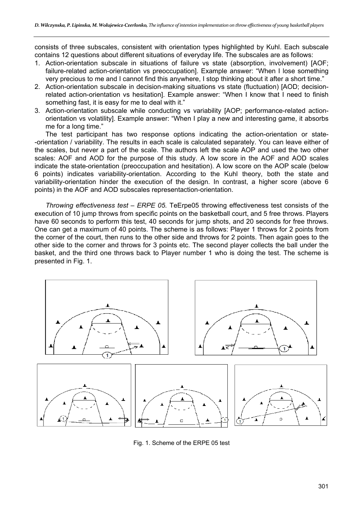consists of three subscales, consistent with orientation types highlighted by Kuhl. Each subscale contains 12 questions about different situations of everyday life. The subscales are as follows:

- 1. Action-orientation subscale in situations of failure vs state (absorption, involvement) [AOF; failure-related action-orientation vs preoccupation]. Example answer: "When I lose something very precious to me and I cannot find this anywhere, I stop thinking about it after a short time."
- 2. Action-orientation subscale in decision-making situations vs state (fluctuation) [AOD; decisionrelated action-orientation vs hesitation]. Example answer: "When I know that I need to finish something fast, it is easy for me to deal with it."
- 3. Action-orientation subscale while conducting vs variability [AOP; performance-related actionorientation vs volatility]. Example answer: "When I play a new and interesting game, it absorbs me for a long time."

The test participant has two response options indicating the action-orientation or state- -orientation / variability. The results in each scale is calculated separately. You can leave either of the scales, but never a part of the scale. The authors left the scale AOP and used the two other scales: AOF and AOD for the purpose of this study. A low score in the AOF and AOD scales indicate the state-orientation (preoccupation and hesitation). A low score on the AOP scale (below 6 points) indicates variability-orientation. According to the Kuhl theory, both the state and variability-orientation hinder the execution of the design. In contrast, a higher score (above 6 points) in the AOF and AOD subscales representaction-orientation.

*Throwing effectiveness test – ERPE 05.* TeErpe05 throwing effectiveness test consists of the execution of 10 jump throws from specific points on the basketball court, and 5 free throws. Players have 60 seconds to perform this test, 40 seconds for jump shots, and 20 seconds for free throws. One can get a maximum of 40 points. The scheme is as follows: Player 1 throws for 2 points from the corner of the court, then runs to the other side and throws for 2 points. Then again goes to the other side to the corner and throws for 3 points etc. The second player collects the ball under the basket, and the third one throws back to Player number 1 who is doing the test. The scheme is presented in Fig. 1.



Fig. 1. Scheme of the ERPE 05 test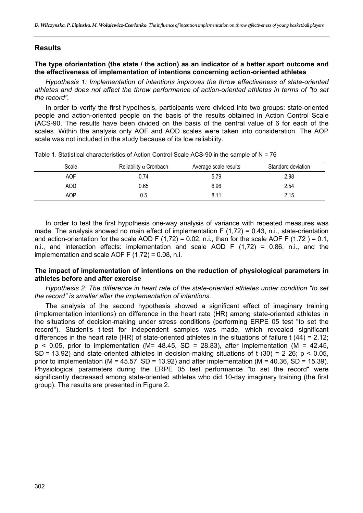## **Results**

#### **The type oforientation (the state / the action) as an indicator of a better sport outcome and the effectiveness of implementation of intentions concerning action-oriented athletes**

*Hypothesis 1: Implementation of intentions improves the throw effectiveness of state-oriented athletes and does not affect the throw performance of action-oriented athletes in terms of "to set the record".* 

In order to verify the first hypothesis, participants were divided into two groups: state-oriented people and action-oriented people on the basis of the results obtained in Action Control Scale (ACS-90. The results have been divided on the basis of the central value of 6 for each of the scales. Within the analysis only AOF and AOD scales were taken into consideration. The AOP scale was not included in the study because of its low reliability.

| Scale      | Reliability $\alpha$ Cronbach | Average scale results | Standard deviation |
|------------|-------------------------------|-----------------------|--------------------|
| <b>AOF</b> | 0.74                          | 5.79                  | 2.98               |
| AOD        | 0.65                          | 6.96                  | 2.54               |
| AOP        | 0.5                           | 8.11                  | 2.15               |

Table 1. Statistical characteristics of Action Control Scale ACS-90 in the sample of N = 76

In order to test the first hypothesis one-way analysis of variance with repeated measures was made. The analysis showed no main effect of implementation F  $(1,72) = 0.43$ , n.i., state-orientation and action-orientation for the scale AOD F (1,72) = 0.02, n.i., than for the scale AOF F (1.72) = 0.1, n.i., and interaction effects: implementation and scale AOD F (1,72) = 0.86, n.i., and the implementation and scale AOF F  $(1,72) = 0.08$ , n.i.

#### **The impact of implementation of intentions on the reduction of physiological parameters in athletes before and after exercise**

*Hypothesis 2: The difference in heart rate of the state-oriented athletes under condition "to set the record" is smaller after the implementation of intentions.* 

The analysis of the second hypothesis showed a significant effect of imaginary training (implementation intentions) on difference in the heart rate (HR) among state-oriented athletes in the situations of decision-making under stress conditions (performing ERPE 05 test "to set the record"). Student's t-test for independent samples was made, which revealed significant differences in the heart rate (HR) of state-oriented athletes in the situations of failure t (44) = 2.12;  $p$  < 0.05, prior to implementation (M= 48.45, SD = 28.83), after implementation (M = 42.45, SD = 13.92) and state-oriented athletes in decision-making situations of t (30) = 2 26;  $p < 0.05$ , prior to implementation (M = 45.57, SD = 13.92) and after implementation (M = 40.36, SD = 15.39). Physiological parameters during the ERPE 05 test performance "to set the record" were significantly decreased among state-oriented athletes who did 10-day imaginary training (the first group). The results are presented in Figure 2.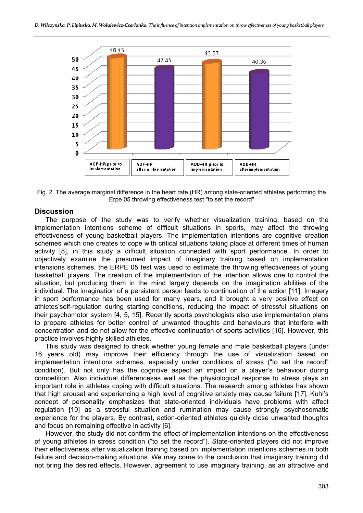

Fig. 2. The average marginal difference in the heart rate (HR) among state-oriented athletes performing the Erpe 05 throwing effectiveness test "to set the record"

#### **Discussion**

The purpose of the study was to verify whether visualization training, based on the implementation intentions scheme of difficult situations in sports, may affect the throwing effectiveness of young basketball players. The implementation intentions are cognitive creation schemes which one creates to cope with critical situations taking place at different times of human activity [8], in this study a difficult situation connected with sport performance. In order to objectively examine the presumed impact of imaginary training based on implementation intensions schemes, the ERPE 05 test was used to estimate the throwing effectiveness of young basketball players. The creation of the implementation of the intention allows one to control the situation, but producing them in the mind largely depends on the imagination abilities of the individual. The imagination of a persistent person leads to continuation of the action [11]. Imagery in sport performance has been used for many years, and it brought a very positive effect on athletes'self-regulation during starting conditions, reducing the impact of stressful situations on their psychomotor system [4, 5, 15]. Recently sports psychologists also use implementation plans to prepare athletes for better control of unwanted thoughts and behaviours that interfere with concentration and do not allow for the effective continuation of sports activities [16]. However, this practice involves highly skilled athletes.

This study was designed to check whether young female and male basketball players (under 16 years old) may improve their efficiency through the use of visualization based on implementation intentions schemes, especially under conditions of stress ("to set the record" condition). But not only has the cognitive aspect an impact on a player's behaviour during competition. Also individual differencesas well as the physiological response to stress plays an important role in athletes coping with difficult situations. The research among athletes has shown that high arousal and experiencing a high level of cognitive anxiety may cause failure [17]. Kuhl's concept of personality emphasizes that state-oriented individuals have problems with affect regulation [10] as a stressful situation and rumination may cause strongly psychosomatic experience for the players. By contrast, action-oriented athletes quickly close unwanted thoughts and focus on remaining effective in activity [6].

However, the study did not confirm the effect of implementation intentions on the effectiveness of young athletes in stress condition ("to set the record"). State-oriented players did not improve their effectiveness after visualization training based on implementation intentions schemes in both failure and decision-making situations. We may come to the conclusion that imaginary training did not bring the desired effects. However, agreement to use imaginary training, as an attractive and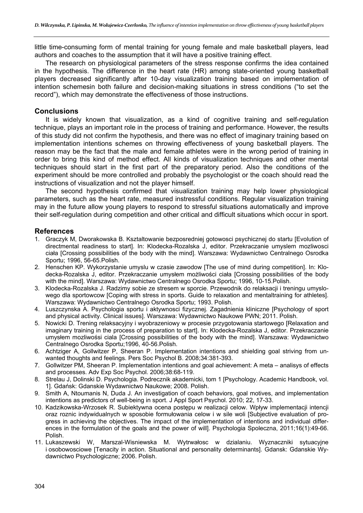little time-consuming form of mental training for young female and male basketball players, lead authors and coaches to the assumption that it will have a positive training effect.

The research on physiological parameters of the stress response confirms the idea contained in the hypothesis. The difference in the heart rate (HR) among state-oriented young basketball players decreased significantly after 10-day visualization training based on implementation of intention schemesin both failure and decision-making situations in stress conditions ("to set the record"), which may demonstrate the effectiveness of those instructions.

#### **Conclusions**

It is widely known that visualization, as a kind of cognitive training and self-regulation technique, plays an important role in the process of training and performance. However, the results of this study did not confirm the hypothesis, and there was no effect of imaginary training based on implementation intentions schemes on throwing effectiveness of young basketball players. The reason may be the fact that the male and female athletes were in the wrong period of training in order to bring this kind of method effect. All kinds of visualization techniques and other mental techniques should start in the first part of the preparatory period. Also the conditions of the experiment should be more controlled and probably the psychologist or the coach should read the instructions of visualization and not the player himself.

The second hypothesis confirmed that visualization training may help lower physiological parameters, such as the heart rate, measured instressful conditions. Regular visualization training may in the future allow young players to respond to stressful situations automatically and improve their self-regulation during competition and other critical and difficult situations which occur in sport.

## **References**

- 1. Graczyk M, Dworakowska B. Ksztaltowanie bezposredniej gotowosci psychicznej do startu [Evolution of directmental readiness to start]. In: Klodecka-Rozalska J, editor. Przekraczanie umyslem mozliwosci ciała [Crossing possibilities of the body with the mind]. Warszawa: Wydawnictwo Centralnego Osrodka Sportu; 1996, 56-65.Polish.
- 2. Henschen KP. Wykorzystanie umyslu w czasie zawodow [The use of mind during competition]. In: Klodecka-Rozalska J, editor. Przekraczanie umysłem możliwości ciała [Crossing possibilities of the body with the mind]. Warszawa: Wydawnictwo Centralnego Osrodka Sportu; 1996, 10-15.Polish.
- 3. Klodecka-Rozalska J. Radzimy sobie ze stresem w sporcie. Przewodnik do relaksacji i treningu umyslowego dla sportowcow [Coping with stress in sports. Guide to relaxation and mentaltraining for athletes]. Warszawa: Wydawnictwo Centralnego Osrodka Sportu; 1993. Polish.
- 4. Luszczynska A. Psychologia sportu i aktywnosci fizycznej. Zagadnienia kliniczne [Psychology of sport and physical activity. Clinical issues]. Warszawa: Wydawnictwo Naukowe PWN; 2011. Polish.
- 5. Nowicki D. Trening relaksacyjny i wyobrazeniowy w procesie przygotowania startowego [Relaxation and imaginary training in the process of preparation to start]. In: Klodecka-Rozalska J, editor. Przekraczanie umysłem mozliwośsi ciala [Crossing possibilities of the body with the mind]. Warszawa: Wydawnictwo Centralnego Osrodka Sportu;1996, 40-56.Polish.
- 6. Achtziger A, Gollwitzer P, Sheeran P. Implementation intentions and shielding goal striving from unwanted thoughts and feelings. Pers Soc Psychol B. 2008;34:381-393.
- 7. Gollwitzer PM, Sheeran P. Implementation intentions and goal achievement: A meta analisys of effects and processes. Adv Exp Soc Psychol. 2006;38:68-119.
- 8. Strelau J, Dolinski D. Psychologia. Podrecznik akademicki, tom 1 [Psychology. Academic Handbook, vol. 1]. Gdańsk: Gdanskie Wydawnictwo Naukowe; 2008. Polish.
- 9. Smith A, Ntoumanis N, Duda J. An investigation of coach behaviors, goal motives, and implementation intentions as predictors of well-being in sport. J Appl Sport Psychol. 2010; 22, 17-33.
- 10. Kadzikowska-Wrzosek R. Subiektywna ocena postępu w realizacji celow. Wpływ implementacji intencji oraz roznic indywidualnych w sposobie formułowania celow i w sile woli [Subjective evaluation of progress in achieving the objectives. The impact of the implementation of intentions and individual differences in the formulation of the goals and the power of will]. Psychologia Spoleczna, 2011;16(1):49-66. Polish.
- 11. Lukaszewski W, Marszal-Wisniewska M. Wytrwałosc w dzialaniu. Wyznaczniki sytuacyjne i osobowosciowe [Tenacity in action. Situational and personality determinants]. Gdansk: Gdanskie Wydawnictwo Psychologiczne; 2006. Polish.